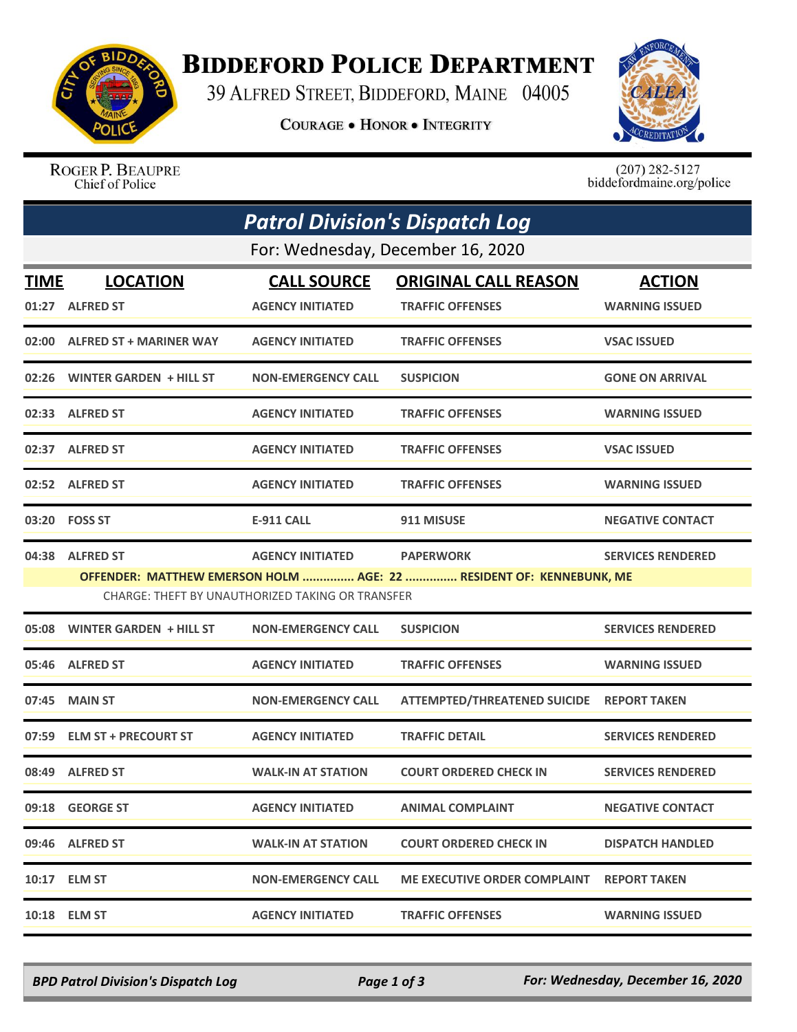

## **BIDDEFORD POLICE DEPARTMENT**

39 ALFRED STREET, BIDDEFORD, MAINE 04005

**COURAGE . HONOR . INTEGRITY** 



ROGER P. BEAUPRE Chief of Police

 $(207)$  282-5127<br>biddefordmaine.org/police

|                                                                                                                         | <b>Patrol Division's Dispatch Log</b> |                           |                                     |                          |  |  |  |  |
|-------------------------------------------------------------------------------------------------------------------------|---------------------------------------|---------------------------|-------------------------------------|--------------------------|--|--|--|--|
| For: Wednesday, December 16, 2020                                                                                       |                                       |                           |                                     |                          |  |  |  |  |
| <b>TIME</b>                                                                                                             | <b>LOCATION</b>                       | <b>CALL SOURCE</b>        | <b>ORIGINAL CALL REASON</b>         | <b>ACTION</b>            |  |  |  |  |
|                                                                                                                         | 01:27 ALFRED ST                       | <b>AGENCY INITIATED</b>   | <b>TRAFFIC OFFENSES</b>             | <b>WARNING ISSUED</b>    |  |  |  |  |
|                                                                                                                         | 02:00 ALFRED ST + MARINER WAY         | <b>AGENCY INITIATED</b>   | <b>TRAFFIC OFFENSES</b>             | <b>VSAC ISSUED</b>       |  |  |  |  |
| 02:26                                                                                                                   | WINTER GARDEN + HILL ST               | <b>NON-EMERGENCY CALL</b> | <b>SUSPICION</b>                    | <b>GONE ON ARRIVAL</b>   |  |  |  |  |
|                                                                                                                         | 02:33 ALFRED ST                       | <b>AGENCY INITIATED</b>   | <b>TRAFFIC OFFENSES</b>             | <b>WARNING ISSUED</b>    |  |  |  |  |
|                                                                                                                         | 02:37 ALFRED ST                       | <b>AGENCY INITIATED</b>   | <b>TRAFFIC OFFENSES</b>             | <b>VSAC ISSUED</b>       |  |  |  |  |
|                                                                                                                         | 02:52 ALFRED ST                       | <b>AGENCY INITIATED</b>   | <b>TRAFFIC OFFENSES</b>             | <b>WARNING ISSUED</b>    |  |  |  |  |
| 03:20                                                                                                                   | <b>FOSS ST</b>                        | E-911 CALL                | 911 MISUSE                          | <b>NEGATIVE CONTACT</b>  |  |  |  |  |
|                                                                                                                         | 04:38 ALFRED ST                       | <b>AGENCY INITIATED</b>   | <b>PAPERWORK</b>                    | <b>SERVICES RENDERED</b> |  |  |  |  |
| OFFENDER: MATTHEW EMERSON HOLM  AGE: 22  RESIDENT OF: KENNEBUNK, ME<br>CHARGE: THEFT BY UNAUTHORIZED TAKING OR TRANSFER |                                       |                           |                                     |                          |  |  |  |  |
| 05:08                                                                                                                   | <b>WINTER GARDEN + HILL ST</b>        | <b>NON-EMERGENCY CALL</b> | <b>SUSPICION</b>                    | <b>SERVICES RENDERED</b> |  |  |  |  |
|                                                                                                                         | 05:46 ALFRED ST                       | <b>AGENCY INITIATED</b>   | <b>TRAFFIC OFFENSES</b>             | <b>WARNING ISSUED</b>    |  |  |  |  |
| 07:45                                                                                                                   | <b>MAIN ST</b>                        | <b>NON-EMERGENCY CALL</b> | <b>ATTEMPTED/THREATENED SUICIDE</b> | <b>REPORT TAKEN</b>      |  |  |  |  |
| 07:59                                                                                                                   | <b>ELM ST + PRECOURT ST</b>           | <b>AGENCY INITIATED</b>   | <b>TRAFFIC DETAIL</b>               | <b>SERVICES RENDERED</b> |  |  |  |  |
| 08:49                                                                                                                   | <b>ALFRED ST</b>                      | <b>WALK-IN AT STATION</b> | <b>COURT ORDERED CHECK IN</b>       | <b>SERVICES RENDERED</b> |  |  |  |  |
|                                                                                                                         | 09:18 GEORGE ST                       | <b>AGENCY INITIATED</b>   | <b>ANIMAL COMPLAINT</b>             | <b>NEGATIVE CONTACT</b>  |  |  |  |  |
|                                                                                                                         | 09:46 ALFRED ST                       | <b>WALK-IN AT STATION</b> | <b>COURT ORDERED CHECK IN</b>       | <b>DISPATCH HANDLED</b>  |  |  |  |  |
|                                                                                                                         | 10:17 ELM ST                          | <b>NON-EMERGENCY CALL</b> | ME EXECUTIVE ORDER COMPLAINT        | <b>REPORT TAKEN</b>      |  |  |  |  |
| 10:18                                                                                                                   | <b>ELM ST</b>                         | <b>AGENCY INITIATED</b>   | <b>TRAFFIC OFFENSES</b>             | <b>WARNING ISSUED</b>    |  |  |  |  |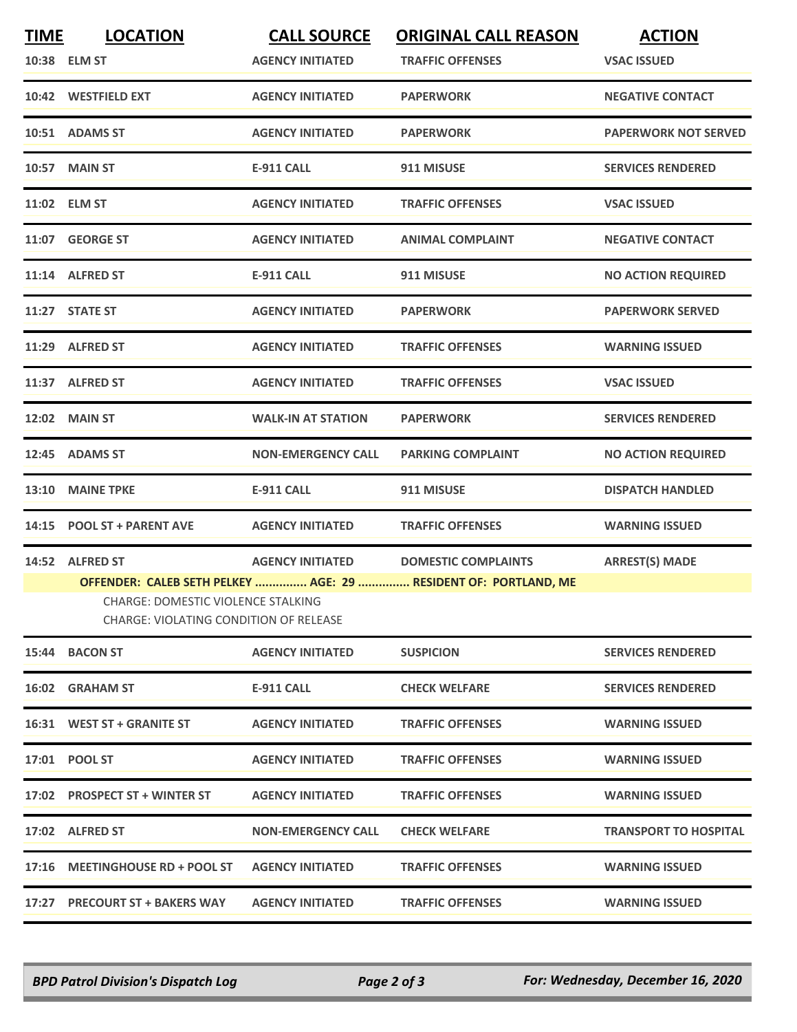| <b>TIME</b> | <b>LOCATION</b><br>10:38 ELM ST                                                                 | <b>CALL SOURCE</b><br><b>AGENCY INITIATED</b> | <b>ORIGINAL CALL REASON</b><br><b>TRAFFIC OFFENSES</b>                                        | <b>ACTION</b><br><b>VSAC ISSUED</b> |
|-------------|-------------------------------------------------------------------------------------------------|-----------------------------------------------|-----------------------------------------------------------------------------------------------|-------------------------------------|
|             | 10:42 WESTFIELD EXT                                                                             | <b>AGENCY INITIATED</b>                       | <b>PAPERWORK</b>                                                                              | <b>NEGATIVE CONTACT</b>             |
|             | 10:51 ADAMS ST                                                                                  | <b>AGENCY INITIATED</b>                       | <b>PAPERWORK</b>                                                                              | <b>PAPERWORK NOT SERVED</b>         |
|             | <b>10:57 MAIN ST</b>                                                                            | <b>E-911 CALL</b>                             | 911 MISUSE                                                                                    | <b>SERVICES RENDERED</b>            |
|             | 11:02 ELM ST                                                                                    | <b>AGENCY INITIATED</b>                       | <b>TRAFFIC OFFENSES</b>                                                                       | <b>VSAC ISSUED</b>                  |
|             | 11:07 GEORGE ST                                                                                 | <b>AGENCY INITIATED</b>                       | <b>ANIMAL COMPLAINT</b>                                                                       | <b>NEGATIVE CONTACT</b>             |
|             | 11:14 ALFRED ST                                                                                 | <b>E-911 CALL</b>                             | 911 MISUSE                                                                                    | <b>NO ACTION REQUIRED</b>           |
|             | 11:27 STATE ST                                                                                  | <b>AGENCY INITIATED</b>                       | <b>PAPERWORK</b>                                                                              | <b>PAPERWORK SERVED</b>             |
|             | 11:29 ALFRED ST                                                                                 | <b>AGENCY INITIATED</b>                       | <b>TRAFFIC OFFENSES</b>                                                                       | <b>WARNING ISSUED</b>               |
|             | 11:37 ALFRED ST                                                                                 | <b>AGENCY INITIATED</b>                       | <b>TRAFFIC OFFENSES</b>                                                                       | <b>VSAC ISSUED</b>                  |
|             | 12:02 MAIN ST                                                                                   | <b>WALK-IN AT STATION</b>                     | <b>PAPERWORK</b>                                                                              | <b>SERVICES RENDERED</b>            |
|             | 12:45 ADAMS ST                                                                                  | <b>NON-EMERGENCY CALL</b>                     | <b>PARKING COMPLAINT</b>                                                                      | <b>NO ACTION REQUIRED</b>           |
| 13:10       | <b>MAINE TPKE</b>                                                                               | <b>E-911 CALL</b>                             | 911 MISUSE                                                                                    | <b>DISPATCH HANDLED</b>             |
| 14:15       | <b>POOL ST + PARENT AVE</b>                                                                     | <b>AGENCY INITIATED</b>                       | <b>TRAFFIC OFFENSES</b>                                                                       | <b>WARNING ISSUED</b>               |
|             | 14:52 ALFRED ST<br>CHARGE: DOMESTIC VIOLENCE STALKING<br>CHARGE: VIOLATING CONDITION OF RELEASE | <b>AGENCY INITIATED</b>                       | <b>DOMESTIC COMPLAINTS</b><br>OFFENDER: CALEB SETH PELKEY  AGE: 29  RESIDENT OF: PORTLAND, ME | <b>ARREST(S) MADE</b>               |
|             | 15:44 BACON ST                                                                                  | <b>AGENCY INITIATED</b>                       | <b>SUSPICION</b>                                                                              | <b>SERVICES RENDERED</b>            |
|             | 16:02 GRAHAM ST                                                                                 | E-911 CALL                                    | <b>CHECK WELFARE</b>                                                                          | <b>SERVICES RENDERED</b>            |
|             | 16:31 WEST ST + GRANITE ST                                                                      | <b>AGENCY INITIATED</b>                       | <b>TRAFFIC OFFENSES</b>                                                                       | <b>WARNING ISSUED</b>               |
|             | 17:01 POOL ST                                                                                   | <b>AGENCY INITIATED</b>                       | <b>TRAFFIC OFFENSES</b>                                                                       | <b>WARNING ISSUED</b>               |
|             | 17:02 PROSPECT ST + WINTER ST                                                                   | <b>AGENCY INITIATED</b>                       | <b>TRAFFIC OFFENSES</b>                                                                       | <b>WARNING ISSUED</b>               |
|             |                                                                                                 |                                               |                                                                                               |                                     |
|             | 17:02 ALFRED ST                                                                                 | <b>NON-EMERGENCY CALL</b>                     | <b>CHECK WELFARE</b>                                                                          | <b>TRANSPORT TO HOSPITAL</b>        |
|             | 17:16 MEETINGHOUSE RD + POOL ST                                                                 | <b>AGENCY INITIATED</b>                       | <b>TRAFFIC OFFENSES</b>                                                                       | <b>WARNING ISSUED</b>               |